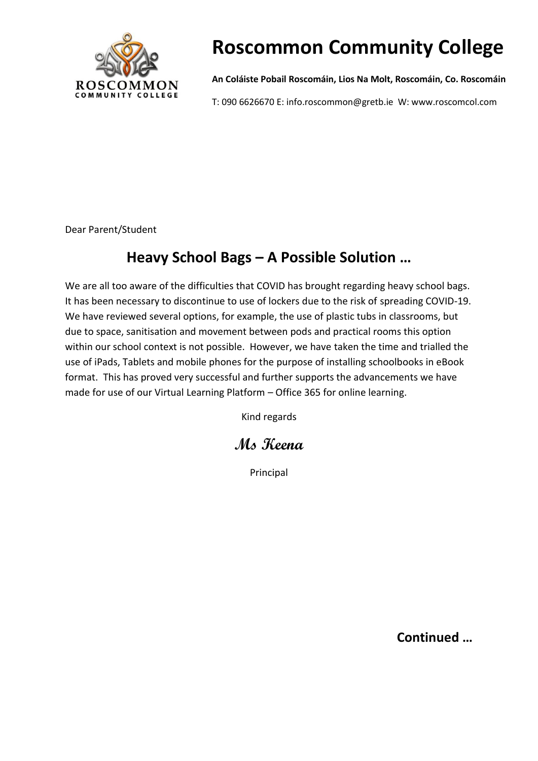

# **Roscommon Community College**

**An Coláiste Pobail Roscomáin, Lios Na Molt, Roscomáin, Co. Roscomáin**

T: 090 6626670 E: info.roscommon@gretb.ie W: www.roscomcol.com

Dear Parent/Student

### **Heavy School Bags – A Possible Solution …**

We are all too aware of the difficulties that COVID has brought regarding heavy school bags. It has been necessary to discontinue to use of lockers due to the risk of spreading COVID-19. We have reviewed several options, for example, the use of plastic tubs in classrooms, but due to space, sanitisation and movement between pods and practical rooms this option within our school context is not possible. However, we have taken the time and trialled the use of iPads, Tablets and mobile phones for the purpose of installing schoolbooks in eBook format. This has proved very successful and further supports the advancements we have made for use of our Virtual Learning Platform – Office 365 for online learning.

Kind regards

### **Ms Keena**

Principal

**Continued …**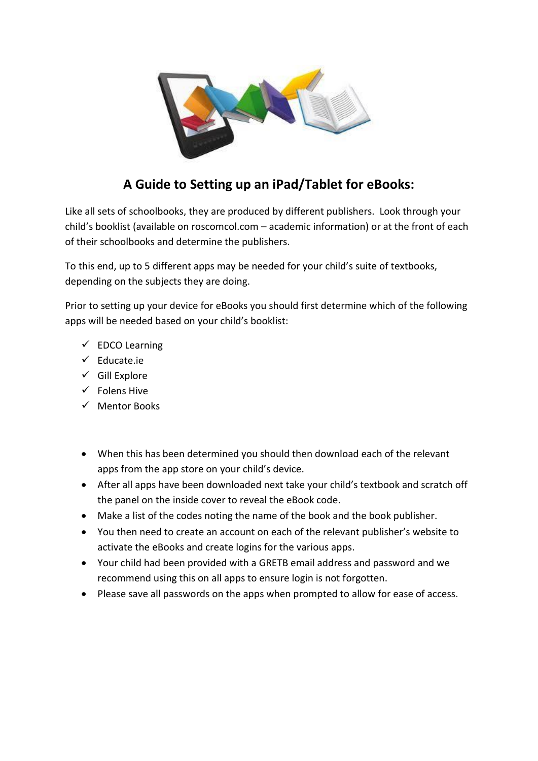

### **A Guide to Setting up an iPad/Tablet for eBooks:**

Like all sets of schoolbooks, they are produced by different publishers. Look through your child's booklist (available on roscomcol.com – academic information) or at the front of each of their schoolbooks and determine the publishers.

To this end, up to 5 different apps may be needed for your child's suite of textbooks, depending on the subjects they are doing.

Prior to setting up your device for eBooks you should first determine which of the following apps will be needed based on your child's booklist:

- $\checkmark$  EDCO Learning
- ✓ Educate.ie
- $\checkmark$  Gill Explore
- ✓ Folens Hive
- ✓ Mentor Books
- When this has been determined you should then download each of the relevant apps from the app store on your child's device.
- After all apps have been downloaded next take your child's textbook and scratch off the panel on the inside cover to reveal the eBook code.
- Make a list of the codes noting the name of the book and the book publisher.
- You then need to create an account on each of the relevant publisher's website to activate the eBooks and create logins for the various apps.
- Your child had been provided with a GRETB email address and password and we recommend using this on all apps to ensure login is not forgotten.
- Please save all passwords on the apps when prompted to allow for ease of access.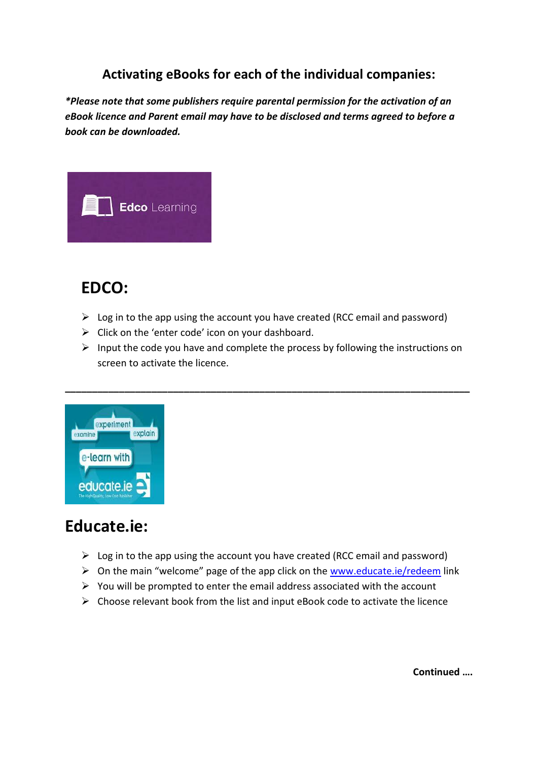### **Activating eBooks for each of the individual companies:**

*\*Please note that some publishers require parental permission for the activation of an eBook licence and Parent email may have to be disclosed and terms agreed to before a book can be downloaded.*



## **EDCO:**

- $\triangleright$  Log in to the app using the account you have created (RCC email and password)
- $\triangleright$  Click on the 'enter code' icon on your dashboard.
- $\triangleright$  Input the code you have and complete the process by following the instructions on screen to activate the licence.

**\_\_\_\_\_\_\_\_\_\_\_\_\_\_\_\_\_\_\_\_\_\_\_\_\_\_\_\_\_\_\_\_\_\_\_\_\_\_\_\_\_\_\_\_\_\_\_\_\_\_\_\_\_\_\_\_\_\_\_\_\_\_\_\_\_\_\_\_\_\_\_\_\_\_\_**



## **Educate.ie:**

- $\triangleright$  Log in to the app using the account you have created (RCC email and password)
- ➢ On the main "welcome" page of the app click on the [www.educate.ie/redeem](http://www.educate.ie/redeem) link
- $\triangleright$  You will be prompted to enter the email address associated with the account
- $\triangleright$  Choose relevant book from the list and input eBook code to activate the licence

**Continued ….**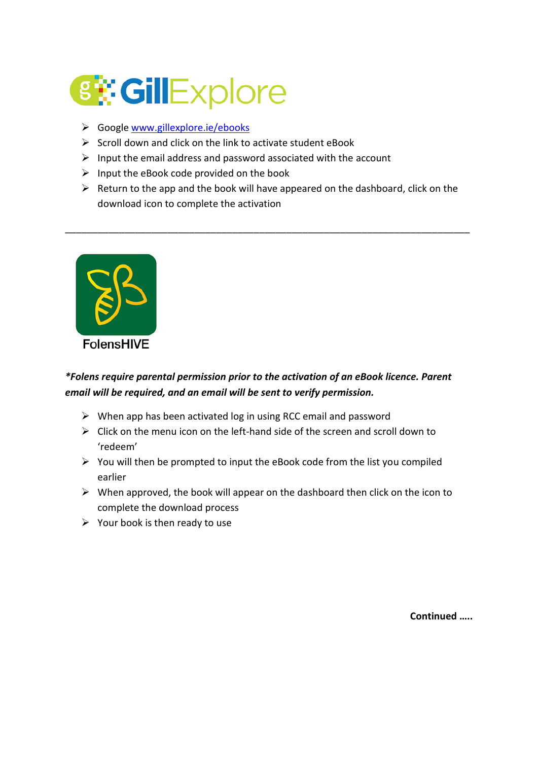

- ➢ Google [www.gillexplore.ie/ebooks](http://www.gillexplore.ie/ebooks)
- $\triangleright$  Scroll down and click on the link to activate student eBook
- $\triangleright$  Input the email address and password associated with the account
- $\triangleright$  Input the eBook code provided on the book
- $\triangleright$  Return to the app and the book will have appeared on the dashboard, click on the download icon to complete the activation

\_\_\_\_\_\_\_\_\_\_\_\_\_\_\_\_\_\_\_\_\_\_\_\_\_\_\_\_\_\_\_\_\_\_\_\_\_\_\_\_\_\_\_\_\_\_\_\_\_\_\_\_\_\_\_\_\_\_\_\_\_\_\_\_\_\_\_\_\_\_\_\_\_\_\_



#### *\*Folens require parental permission prior to the activation of an eBook licence. Parent email will be required, and an email will be sent to verify permission.*

- $\triangleright$  When app has been activated log in using RCC email and password
- ➢ Click on the menu icon on the left-hand side of the screen and scroll down to 'redeem'
- $\triangleright$  You will then be prompted to input the eBook code from the list you compiled earlier
- $\triangleright$  When approved, the book will appear on the dashboard then click on the icon to complete the download process
- $\triangleright$  Your book is then ready to use

**Continued …..**